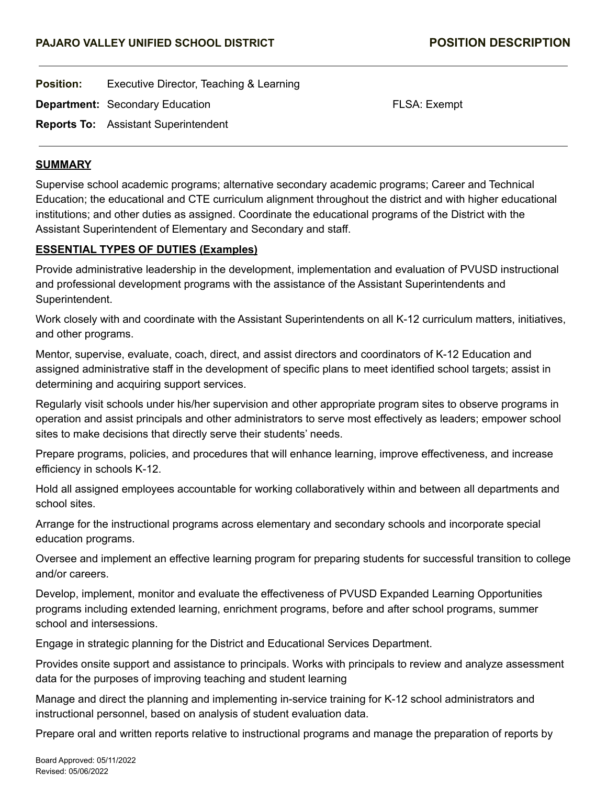**Position:** Executive Director, Teaching & Learning

**Department:** Secondary Education **FLSA: Exempt** FLSA: Exempt

**Reports To:** Assistant Superintendent

#### **SUMMARY**

Supervise school academic programs; alternative secondary academic programs; Career and Technical Education; the educational and CTE curriculum alignment throughout the district and with higher educational institutions; and other duties as assigned. Coordinate the educational programs of the District with the Assistant Superintendent of Elementary and Secondary and staff.

### **ESSENTIAL TYPES OF DUTIES (Examples)**

Provide administrative leadership in the development, implementation and evaluation of PVUSD instructional and professional development programs with the assistance of the Assistant Superintendents and Superintendent.

Work closely with and coordinate with the Assistant Superintendents on all K-12 curriculum matters, initiatives, and other programs.

Mentor, supervise, evaluate, coach, direct, and assist directors and coordinators of K-12 Education and assigned administrative staff in the development of specific plans to meet identified school targets; assist in determining and acquiring support services.

Regularly visit schools under his/her supervision and other appropriate program sites to observe programs in operation and assist principals and other administrators to serve most effectively as leaders; empower school sites to make decisions that directly serve their students' needs.

Prepare programs, policies, and procedures that will enhance learning, improve effectiveness, and increase efficiency in schools K-12.

Hold all assigned employees accountable for working collaboratively within and between all departments and school sites.

Arrange for the instructional programs across elementary and secondary schools and incorporate special education programs.

Oversee and implement an effective learning program for preparing students for successful transition to college and/or careers.

Develop, implement, monitor and evaluate the effectiveness of PVUSD Expanded Learning Opportunities programs including extended learning, enrichment programs, before and after school programs, summer school and intersessions.

Engage in strategic planning for the District and Educational Services Department.

Provides onsite support and assistance to principals. Works with principals to review and analyze assessment data for the purposes of improving teaching and student learning

Manage and direct the planning and implementing in-service training for K-12 school administrators and instructional personnel, based on analysis of student evaluation data.

Prepare oral and written reports relative to instructional programs and manage the preparation of reports by